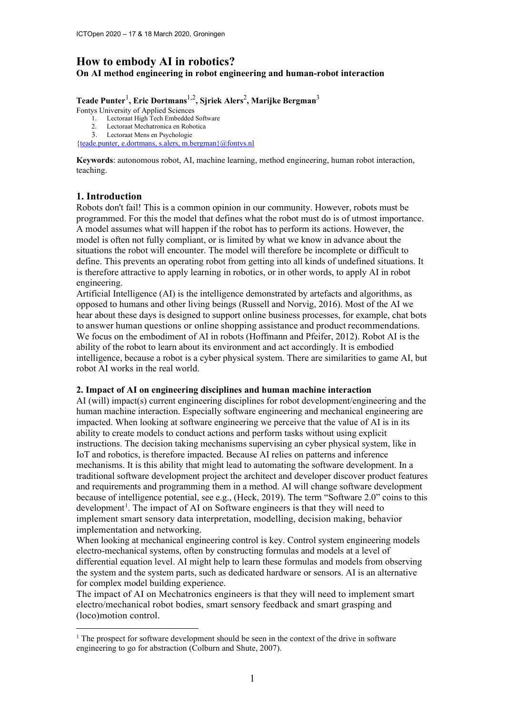# **How to embody AI in robotics?**

**On AI method engineering in robot engineering and human-robot interaction**

**Teade Punter**<sup>1</sup> **, Eric Dortmans**1,2**, Sjriek Alers**<sup>2</sup> **, Marijke Bergman**<sup>3</sup>

Fontys University of Applied Sciences

- 1. Lectoraat High Tech Embedded Software
- 2. Lectoraat Mechatronica en Robotica 3. Lectoraat Mens en Psychologie
- [{teade.punter, e.dortmans, s.alers, m.bergman}@fontys.nl](mailto:teade.punter,%20e.dortmans,%20s.alers,%20m.bergman%7D@fontys.nl)

**Keywords**: autonomous robot, AI, machine learning, method engineering, human robot interaction, teaching.

## **1. Introduction**

Robots don't fail! This is a common opinion in our community. However, robots must be programmed. For this the model that defines what the robot must do is of utmost importance. A model assumes what will happen if the robot has to perform its actions. However, the model is often not fully compliant, or is limited by what we know in advance about the situations the robot will encounter. The model will therefore be incomplete or difficult to define. This prevents an operating robot from getting into all kinds of undefined situations. It is therefore attractive to apply learning in robotics, or in other words, to apply AI in robot engineering.

Artificial Intelligence (AI) is the intelligence demonstrated by artefacts and algorithms, as opposed to humans and other living beings (Russell and Norvig, 2016). Most of the AI we hear about these days is designed to support online business processes, for example, chat bots to answer human questions or online shopping assistance and product recommendations. We focus on the embodiment of AI in robots (Hoffmann and Pfeifer, 2012). Robot AI is the ability of the robot to learn about its environment and act accordingly. It is embodied intelligence, because a robot is a cyber physical system. There are similarities to game AI, but robot AI works in the real world.

## **2. Impact of AI on engineering disciplines and human machine interaction**

AI (will) impact(s) current engineering disciplines for robot development/engineering and the human machine interaction. Especially software engineering and mechanical engineering are impacted. When looking at software engineering we perceive that the value of AI is in its ability to create models to conduct actions and perform tasks without using explicit instructions. The decision taking mechanisms supervising an cyber physical system, like in IoT and robotics, is therefore impacted. Because AI relies on patterns and inference mechanisms. It is this ability that might lead to automating the software development. In a traditional software development project the architect and developer discover product features and requirements and programming them in a method. AI will change software development because of intelligence potential, see e.g., (Heck, 2019). The term "Software 2.0" coins to this development<sup>[1](#page-0-0)</sup>. The impact of AI on Software engineers is that they will need to implement smart sensory data interpretation, modelling, decision making, behavior implementation and networking.

When looking at mechanical engineering control is key. Control system engineering models electro-mechanical systems, often by constructing formulas and models at a level of differential equation level. AI might help to learn these formulas and models from observing the system and the system parts, such as dedicated hardware or sensors. AI is an alternative for complex model building experience.

The impact of AI on Mechatronics engineers is that they will need to implement smart electro/mechanical robot bodies, smart sensory feedback and smart grasping and (loco)motion control.

<span id="page-0-0"></span><sup>&</sup>lt;sup>1</sup> The prospect for software development should be seen in the context of the drive in software engineering to go for abstraction (Colburn and Shute, 2007).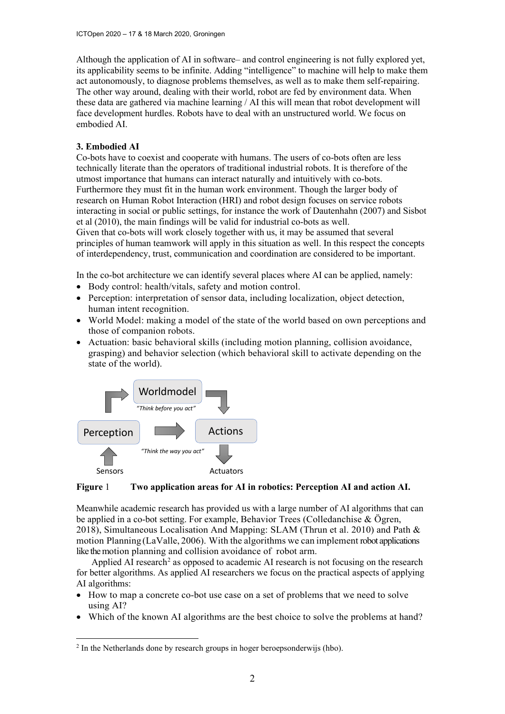Although the application of AI in software– and control engineering is not fully explored yet, its applicability seems to be infinite. Adding "intelligence" to machine will help to make them act autonomously, to diagnose problems themselves, as well as to make them self-repairing. The other way around, dealing with their world, robot are fed by environment data. When these data are gathered via machine learning / AI this will mean that robot development will face development hurdles. Robots have to deal with an unstructured world. We focus on embodied AI.

## **3. Embodied AI**

Co-bots have to coexist and cooperate with humans. The users of co-bots often are less technically literate than the operators of traditional industrial robots. It is therefore of the utmost importance that humans can interact naturally and intuitively with co-bots. Furthermore they must fit in the human work environment. Though the larger body of research on Human Robot Interaction (HRI) and robot design focuses on service robots interacting in social or public settings, for instance the work of Dautenhahn (2007) and Sisbot et al (2010), the main findings will be valid for industrial co-bots as well. Given that co-bots will work closely together with us, it may be assumed that several principles of human teamwork will apply in this situation as well. In this respect the concepts of interdependency, trust, communication and coordination are considered to be important.

In the co-bot architecture we can identify several places where AI can be applied, namely:

- Body control: health/vitals, safety and motion control.
- Perception: interpretation of sensor data, including localization, object detection, human intent recognition.
- World Model: making a model of the state of the world based on own perceptions and those of companion robots.
- Actuation: basic behavioral skills (including motion planning, collision avoidance, grasping) and behavior selection (which behavioral skill to activate depending on the state of the world).



#### **Figure** 1 **Two application areas for AI in robotics: Perception AI and action AI.**

Meanwhile academic research has provided us with a large number of AI algorithms that can be applied in a co-bot setting. For example, Behavior Trees (Colledanchise & Ögren, 2018), Simultaneous Localisation And Mapping: SLAM (Thrun et al. 2010) and Path & motion Planning(LaValle, 2006). With the algorithms we can implement robot applications like the motion planning and collision avoidance of robot arm.

Applied AI research<sup>[2](#page-1-0)</sup> as opposed to academic AI research is not focusing on the research for better algorithms. As applied AI researchers we focus on the practical aspects of applying AI algorithms:

- How to map a concrete co-bot use case on a set of problems that we need to solve using AI?
- Which of the known AI algorithms are the best choice to solve the problems at hand?

<span id="page-1-0"></span><sup>&</sup>lt;sup>2</sup> In the Netherlands done by research groups in hoger beroepsonderwijs (hbo).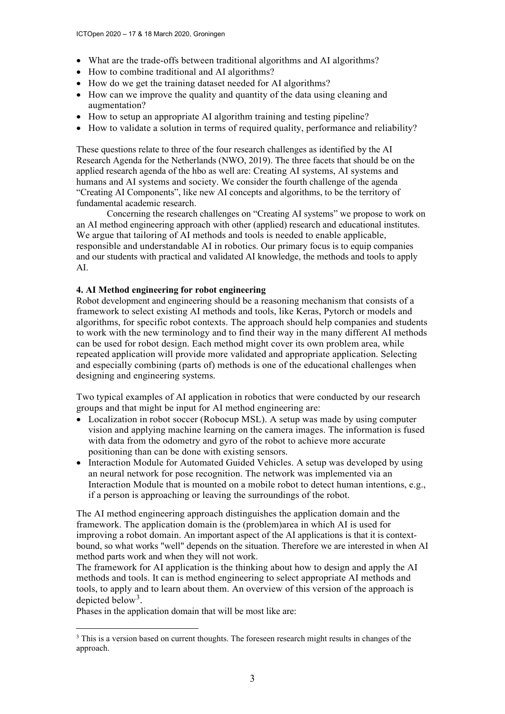- What are the trade-offs between traditional algorithms and AI algorithms?
- How to combine traditional and AI algorithms?
- How do we get the training dataset needed for AI algorithms?
- How can we improve the quality and quantity of the data using cleaning and augmentation?
- How to setup an appropriate AI algorithm training and testing pipeline?
- How to validate a solution in terms of required quality, performance and reliability?

These questions relate to three of the four research challenges as identified by the AI Research Agenda for the Netherlands (NWO, 2019). The three facets that should be on the applied research agenda of the hbo as well are: Creating AI systems, AI systems and humans and AI systems and society. We consider the fourth challenge of the agenda "Creating AI Components", like new AI concepts and algorithms, to be the territory of fundamental academic research.

Concerning the research challenges on "Creating AI systems" we propose to work on an AI method engineering approach with other (applied) research and educational institutes. We argue that tailoring of AI methods and tools is needed to enable applicable, responsible and understandable AI in robotics. Our primary focus is to equip companies and our students with practical and validated AI knowledge, the methods and tools to apply AI.

#### **4. AI Method engineering for robot engineering**

Robot development and engineering should be a reasoning mechanism that consists of a framework to select existing AI methods and tools, like Keras, Pytorch or models and algorithms, for specific robot contexts. The approach should help companies and students to work with the new terminology and to find their way in the many different AI methods can be used for robot design. Each method might cover its own problem area, while repeated application will provide more validated and appropriate application. Selecting and especially combining (parts of) methods is one of the educational challenges when designing and engineering systems.

Two typical examples of AI application in robotics that were conducted by our research groups and that might be input for AI method engineering are:

- Localization in robot soccer (Robocup MSL). A setup was made by using computer vision and applying machine learning on the camera images. The information is fused with data from the odometry and gyro of the robot to achieve more accurate positioning than can be done with existing sensors.
- Interaction Module for Automated Guided Vehicles. A setup was developed by using an neural network for pose recognition. The network was implemented via an Interaction Module that is mounted on a mobile robot to detect human intentions, e.g., if a person is approaching or leaving the surroundings of the robot.

The AI method engineering approach distinguishes the application domain and the framework. The application domain is the (problem)area in which AI is used for improving a robot domain. An important aspect of the AI applications is that it is contextbound, so what works "well" depends on the situation. Therefore we are interested in when AI method parts work and when they will not work.

The framework for AI application is the thinking about how to design and apply the AI methods and tools. It can is method engineering to select appropriate AI methods and tools, to apply and to learn about them. An overview of this version of the approach is depicted below<sup>[3](#page-2-0)</sup>.

Phases in the application domain that will be most like are:

<span id="page-2-0"></span><sup>&</sup>lt;sup>3</sup> This is a version based on current thoughts. The foreseen research might results in changes of the approach.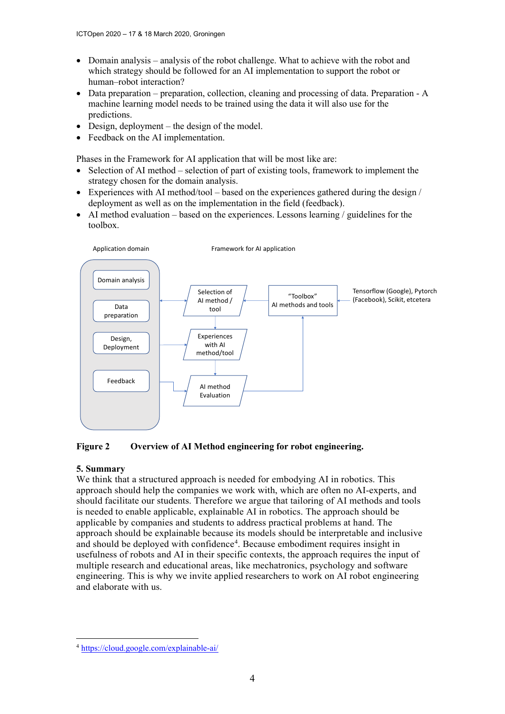- Domain analysis analysis of the robot challenge. What to achieve with the robot and which strategy should be followed for an AI implementation to support the robot or human–robot interaction?
- Data preparation preparation, collection, cleaning and processing of data. Preparation A machine learning model needs to be trained using the data it will also use for the predictions.
- Design, deployment the design of the model.
- Feedback on the AI implementation.

Phases in the Framework for AI application that will be most like are:

- Selection of AI method selection of part of existing tools, framework to implement the strategy chosen for the domain analysis.
- Experiences with AI method/tool based on the experiences gathered during the design  $\ell$ deployment as well as on the implementation in the field (feedback).
- AI method evaluation based on the experiences. Lessons learning / guidelines for the toolbox.



**Figure 2 Overview of AI Method engineering for robot engineering.**

#### **5. Summary**

We think that a structured approach is needed for embodying AI in robotics. This approach should help the companies we work with, which are often no AI-experts, and should facilitate our students. Therefore we argue that tailoring of AI methods and tools is needed to enable applicable, explainable AI in robotics. The approach should be applicable by companies and students to address practical problems at hand. The approach should be explainable because its models should be interpretable and inclusive and should be deployed with confidence<sup>[4](#page-3-0)</sup>. Because embodiment requires insight in usefulness of robots and AI in their specific contexts, the approach requires the input of multiple research and educational areas, like mechatronics, psychology and software engineering. This is why we invite applied researchers to work on AI robot engineering and elaborate with us.

<span id="page-3-0"></span><sup>4</sup> <https://cloud.google.com/explainable-ai/>